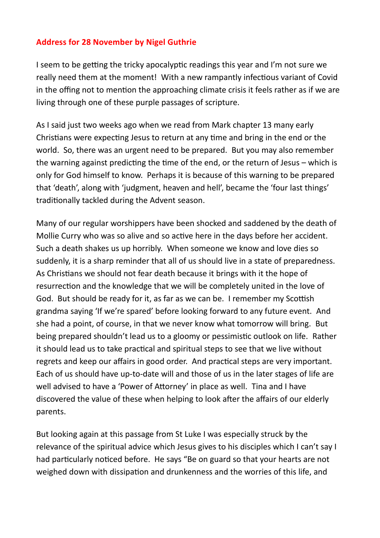## **Address for 28 November by Nigel Guthrie**

I seem to be getting the tricky apocalyptic readings this year and I'm not sure we really need them at the moment! With a new rampantly infectious variant of Covid in the offing not to mention the approaching climate crisis it feels rather as if we are living through one of these purple passages of scripture.

As I said just two weeks ago when we read from Mark chapter 13 many early Christians were expecting Jesus to return at any time and bring in the end or the world. So, there was an urgent need to be prepared. But you may also remember the warning against predicting the time of the end, or the return of Jesus – which is only for God himself to know. Perhaps it is because of this warning to be prepared that 'death', along with 'judgment, heaven and hell', became the 'four last things' traditionally tackled during the Advent season.

Many of our regular worshippers have been shocked and saddened by the death of Mollie Curry who was so alive and so active here in the days before her accident. Such a death shakes us up horribly. When someone we know and love dies so suddenly, it is a sharp reminder that all of us should live in a state of preparedness. As Christians we should not fear death because it brings with it the hope of resurrection and the knowledge that we will be completely united in the love of God. But should be ready for it, as far as we can be. I remember my Scottish grandma saying 'If we're spared' before looking forward to any future event. And she had a point, of course, in that we never know what tomorrow will bring. But being prepared shouldn't lead us to a gloomy or pessimistic outlook on life. Rather it should lead us to take practical and spiritual steps to see that we live without regrets and keep our affairs in good order. And practical steps are very important. Each of us should have up-to-date will and those of us in the later stages of life are well advised to have a 'Power of Attorney' in place as well. Tina and I have discovered the value of these when helping to look after the affairs of our elderly parents.

But looking again at this passage from St Luke I was especially struck by the relevance of the spiritual advice which Jesus gives to his disciples which I can't say I had particularly noticed before. He says "Be on guard so that your hearts are not weighed down with dissipation and drunkenness and the worries of this life, and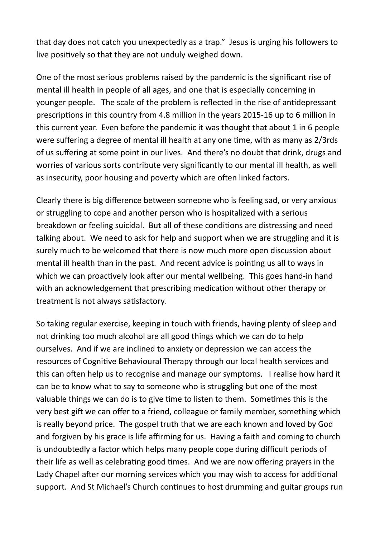that day does not catch you unexpectedly as a trap." Jesus is urging his followers to live positively so that they are not unduly weighed down.

One of the most serious problems raised by the pandemic is the significant rise of mental ill health in people of all ages, and one that is especially concerning in younger people. The scale of the problem is reflected in the rise of antidepressant prescriptions in this country from 4.8 million in the years 2015-16 up to 6 million in this current year. Even before the pandemic it was thought that about 1 in 6 people were suffering a degree of mental ill health at any one time, with as many as 2/3rds of us suffering at some point in our lives. And there's no doubt that drink, drugs and worries of various sorts contribute very significantly to our mental ill health, as well as insecurity, poor housing and poverty which are often linked factors.

Clearly there is big difference between someone who is feeling sad, or very anxious or struggling to cope and another person who is hospitalized with a serious breakdown or feeling suicidal. But all of these conditions are distressing and need talking about. We need to ask for help and support when we are struggling and it is surely much to be welcomed that there is now much more open discussion about mental ill health than in the past. And recent advice is pointing us all to ways in which we can proactively look after our mental wellbeing. This goes hand-in hand with an acknowledgement that prescribing medication without other therapy or treatment is not always satisfactory.

So taking regular exercise, keeping in touch with friends, having plenty of sleep and not drinking too much alcohol are all good things which we can do to help ourselves. And if we are inclined to anxiety or depression we can access the resources of Cognitive Behavioural Therapy through our local health services and this can often help us to recognise and manage our symptoms. I realise how hard it can be to know what to say to someone who is struggling but one of the most valuable things we can do is to give time to listen to them. Sometimes this is the very best gift we can offer to a friend, colleague or family member, something which is really beyond price. The gospel truth that we are each known and loved by God and forgiven by his grace is life affirming for us. Having a faith and coming to church is undoubtedly a factor which helps many people cope during difficult periods of their life as well as celebrating good times. And we are now offering prayers in the Lady Chapel after our morning services which you may wish to access for additional support. And St Michael's Church continues to host drumming and guitar groups run